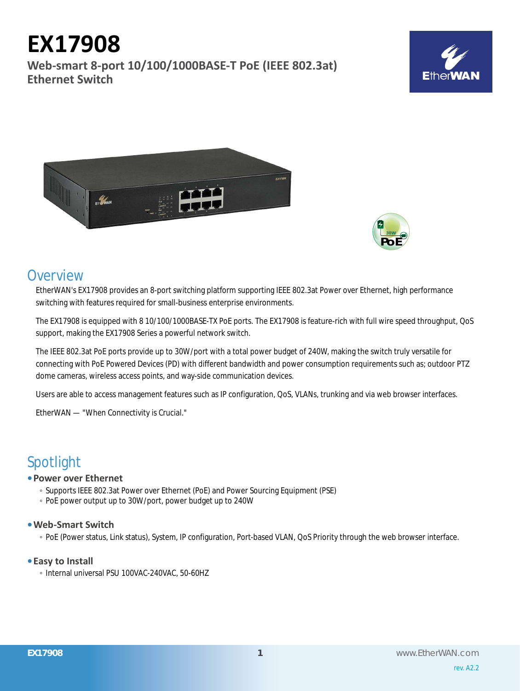# **EX17908**

**Web-smart 8-port 10/100/1000BASE-T PoE (IEEE 802.3at) Ethernet Switch**







# **Overview**

EtherWAN's EX17908 provides an 8-port switching platform supporting IEEE 802.3at Power over Ethernet, high performance switching with features required for small-business enterprise environments.

The EX17908 is equipped with 8 10/100/1000BASE-TX PoE ports. The EX17908 is feature-rich with full wire speed throughput, QoS support, making the EX17908 Series a powerful network switch.

The IEEE 802.3at PoE ports provide up to 30W/port with a total power budget of 240W, making the switch truly versatile for connecting with PoE Powered Devices (PD) with different bandwidth and power consumption requirements such as; outdoor PTZ dome cameras, wireless access points, and way-side communication devices.

Users are able to access management features such as IP configuration, QoS, VLANs, trunking and via web browser interfaces.

EtherWAN — "When Connectivity is Crucial."

# Spotlight

# **• Power over Ethernet**

- Supports IEEE 802.3at Power over Ethernet (PoE) and Power Sourcing Equipment (PSE)
- PoE power output up to 30W/port, power budget up to 240W

# **• Web-Smart Switch**

◦ PoE (Power status, Link status), System, IP configuration, Port-based VLAN, QoS Priority through the web browser interface.

# **• Easy to Install**

◦ Internal universal PSU 100VAC-240VAC, 50-60HZ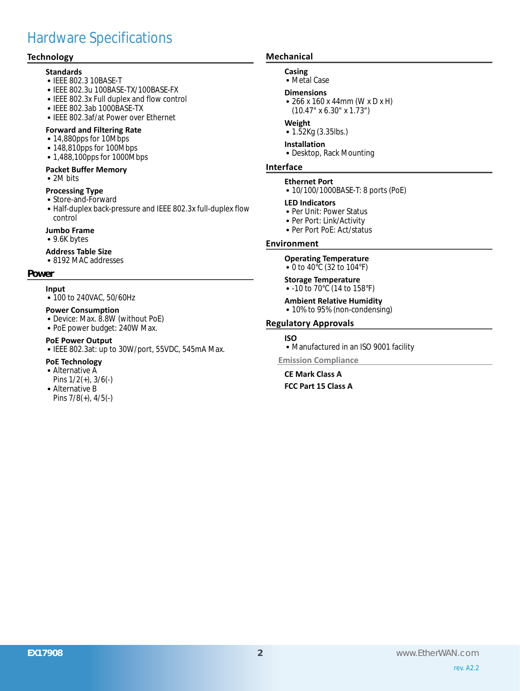# Hardware Specifications

# **Technology**

## **Standards**

- • IEEE 802.3 10BASE-T
- IEEE 802.3u 100BASE-TX/100BASE-FX
- IEEE 802.3x Full duplex and flow control
- • IEEE 802.3ab 1000BASE-TX
- IEEE 802.3af/at Power over Ethernet

### **Forward and Filtering Rate**

- 14,880pps for 10Mbps
- 148,810pps for 100Mbps
- 1,488,100pps for 1000Mbps

# **Packet Buffer Memory**

• 2M bits

# **Processing Type**

- Store-and-Forward
- Half-duplex back-pressure and IEEE 802.3x full-duplex flow control
- **Jumbo Frame**
- 9.6K bytes

## **Address Table Size**

• 8192 MAC addresses

#### **Power**

#### **Input**

• 100 to 240VAC, 50/60Hz

## **Power Consumption**

- Device: Max. 8.8W (without PoE)
- PoE power budget: 240W Max.

### **PoE Power Output**

• IEEE 802.3at: up to 30W/port, 55VDC, 545mA Max.

# **PoE Technology**

- Alternative A Pins 1/2(+), 3/6(-)
- Alternative B Pins 7/8(+), 4/5(-)

# **Mechanical**

## **Casing**

• Metal Case

#### **Dimensions**

• 266 x 160 x 44mm (W x D x H) (10.47" x 6.30" x 1.73")

#### **Weight**

• 1.52Kg (3.35lbs.)

# **Installation**

• Desktop, Rack Mounting

#### **Interface**

#### **Ethernet Port**

• 10/100/1000BASE-T: 8 ports (PoE)

#### **LED Indicators**

- Per Unit: Power Status
- Per Port: Link/Activity
- Per Port PoE: Act/status

#### **Environment**

# **Operating Temperature**

• 0 to 40°C (32 to 104°F)

#### **Storage Temperature** • -10 to 70°C (14 to 158°F)

- 
- **Ambient Relative Humidity** • 10% to 95% (non-condensing)

# **Regulatory Approvals**

#### **ISO**

• Manufactured in an ISO 9001 facility

**Emission Compliance**

**CE Mark Class A FCC Part 15 Class A**